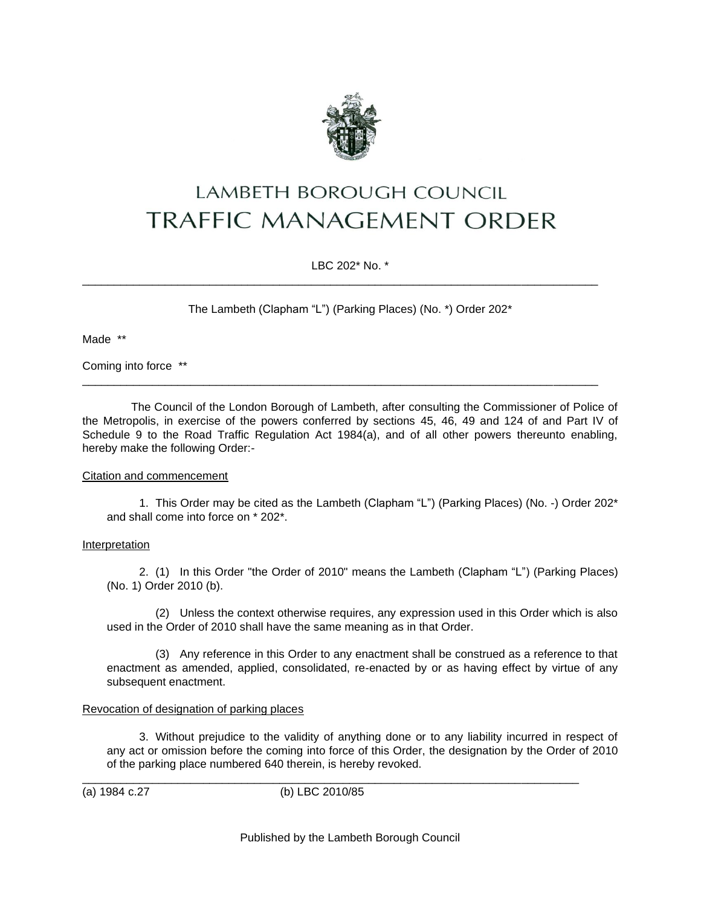

# **LAMBETH BOROUGH COUNCIL TRAFFIC MANAGEMENT ORDER**

LBC 202\* No. \*

\_\_\_\_\_\_\_\_\_\_\_\_\_\_\_\_\_\_\_\_\_\_\_\_\_\_\_\_\_\_\_\_\_\_\_\_\_\_\_\_\_\_\_\_\_\_\_\_\_\_\_\_\_\_\_\_\_\_\_\_\_\_\_\_\_\_\_\_\_\_\_\_\_\_\_\_\_\_\_\_\_

\_\_\_\_\_\_\_\_\_\_\_\_\_\_\_\_\_\_\_\_\_\_\_\_\_\_\_\_\_\_\_\_\_\_\_\_\_\_\_\_\_\_\_\_\_\_\_\_\_\_\_\_\_\_\_\_\_\_\_\_\_\_\_\_\_\_\_\_\_\_\_\_\_\_\_\_\_\_\_\_\_

The Lambeth (Clapham "L") (Parking Places) (No. \*) Order 202\*

Made \*\*

Coming into force \*\*

The Council of the London Borough of Lambeth, after consulting the Commissioner of Police of the Metropolis, in exercise of the powers conferred by sections 45, 46, 49 and 124 of and Part IV of Schedule 9 to the Road Traffic Regulation Act 1984(a), and of all other powers thereunto enabling, hereby make the following Order:-

## Citation and commencement

1. This Order may be cited as the Lambeth (Clapham "L") (Parking Places) (No. -) Order 202\* and shall come into force on \* 202\*.

### Interpretation

2. (1) In this Order "the Order of 2010" means the Lambeth (Clapham "L") (Parking Places) (No. 1) Order 2010 (b).

(2) Unless the context otherwise requires, any expression used in this Order which is also used in the Order of 2010 shall have the same meaning as in that Order.

(3) Any reference in this Order to any enactment shall be construed as a reference to that enactment as amended, applied, consolidated, re-enacted by or as having effect by virtue of any subsequent enactment.

### Revocation of designation of parking places

3. Without prejudice to the validity of anything done or to any liability incurred in respect of any act or omission before the coming into force of this Order, the designation by the Order of 2010 of the parking place numbered 640 therein, is hereby revoked.

\_\_\_\_\_\_\_\_\_\_\_\_\_\_\_\_\_\_\_\_\_\_\_\_\_\_\_\_\_\_\_\_\_\_\_\_\_\_\_\_\_\_\_\_\_\_\_\_\_\_\_\_\_\_\_\_\_\_\_\_\_\_\_\_\_\_\_\_\_\_\_\_\_\_\_\_\_\_ (a) 1984 c.27 (b) LBC 2010/85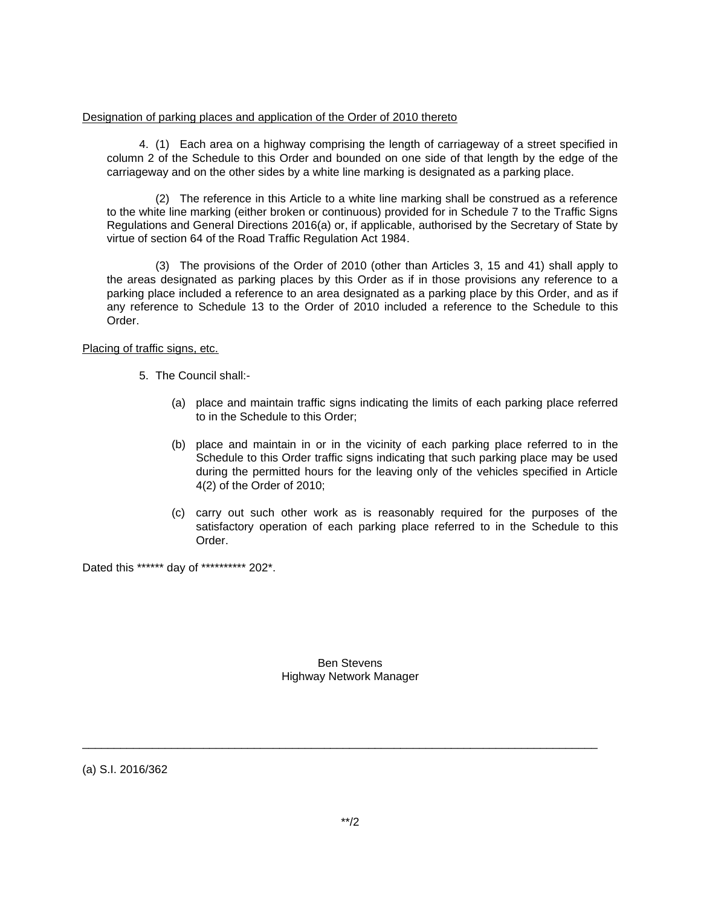### Designation of parking places and application of the Order of 2010 thereto

4. (1) Each area on a highway comprising the length of carriageway of a street specified in column 2 of the Schedule to this Order and bounded on one side of that length by the edge of the carriageway and on the other sides by a white line marking is designated as a parking place.

(2) The reference in this Article to a white line marking shall be construed as a reference to the white line marking (either broken or continuous) provided for in Schedule 7 to the Traffic Signs Regulations and General Directions 2016(a) or, if applicable, authorised by the Secretary of State by virtue of section 64 of the Road Traffic Regulation Act 1984.

(3) The provisions of the Order of 2010 (other than Articles 3, 15 and 41) shall apply to the areas designated as parking places by this Order as if in those provisions any reference to a parking place included a reference to an area designated as a parking place by this Order, and as if any reference to Schedule 13 to the Order of 2010 included a reference to the Schedule to this Order.

### Placing of traffic signs, etc.

- 5. The Council shall:-
	- (a) place and maintain traffic signs indicating the limits of each parking place referred to in the Schedule to this Order;
	- (b) place and maintain in or in the vicinity of each parking place referred to in the Schedule to this Order traffic signs indicating that such parking place may be used during the permitted hours for the leaving only of the vehicles specified in Article 4(2) of the Order of 2010;
	- (c) carry out such other work as is reasonably required for the purposes of the satisfactory operation of each parking place referred to in the Schedule to this Order.

Dated this \*\*\*\*\*\* day of \*\*\*\*\*\*\*\*\*\* 202\*.

Ben Stevens Highway Network Manager

\_\_\_\_\_\_\_\_\_\_\_\_\_\_\_\_\_\_\_\_\_\_\_\_\_\_\_\_\_\_\_\_\_\_\_\_\_\_\_\_\_\_\_\_\_\_\_\_\_\_\_\_\_\_\_\_\_\_\_\_\_\_\_\_\_\_\_\_\_\_\_\_\_\_\_\_\_\_\_\_\_

(a) S.I. 2016/362